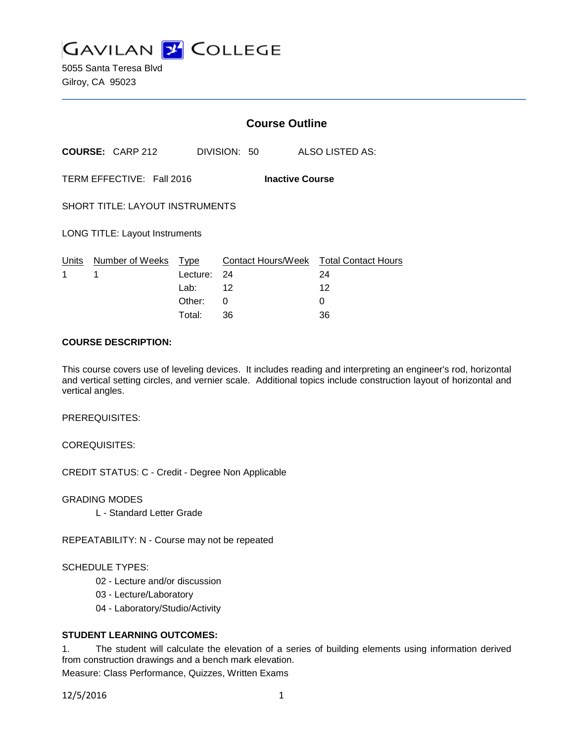

5055 Santa Teresa Blvd Gilroy, CA 95023

|                                                     |                                        | <b>Course Outline</b> |                                        |    |                 |  |
|-----------------------------------------------------|----------------------------------------|-----------------------|----------------------------------------|----|-----------------|--|
|                                                     | <b>COURSE: CARP 212</b>                |                       | DIVISION: 50                           |    | ALSO LISTED AS: |  |
| TERM EFFECTIVE: Fall 2016<br><b>Inactive Course</b> |                                        |                       |                                        |    |                 |  |
|                                                     | <b>SHORT TITLE: LAYOUT INSTRUMENTS</b> |                       |                                        |    |                 |  |
| <b>LONG TITLE: Layout Instruments</b>               |                                        |                       |                                        |    |                 |  |
|                                                     | Units Number of Weeks Type             |                       | Contact Hours/Week Total Contact Hours |    |                 |  |
| 1                                                   | 1                                      | Lecture: 24           |                                        | 24 |                 |  |
|                                                     |                                        | Lab: $12$             |                                        | 12 |                 |  |
|                                                     |                                        | Other:                | 0                                      | 0  |                 |  |
|                                                     |                                        | Total:                | 36                                     | 36 |                 |  |

#### **COURSE DESCRIPTION:**

This course covers use of leveling devices. It includes reading and interpreting an engineer's rod, horizontal and vertical setting circles, and vernier scale. Additional topics include construction layout of horizontal and vertical angles.

PREREQUISITES:

COREQUISITES:

CREDIT STATUS: C - Credit - Degree Non Applicable

GRADING MODES

L - Standard Letter Grade

REPEATABILITY: N - Course may not be repeated

#### SCHEDULE TYPES:

- 02 Lecture and/or discussion
- 03 Lecture/Laboratory
- 04 Laboratory/Studio/Activity

#### **STUDENT LEARNING OUTCOMES:**

1. The student will calculate the elevation of a series of building elements using information derived from construction drawings and a bench mark elevation.

Measure: Class Performance, Quizzes, Written Exams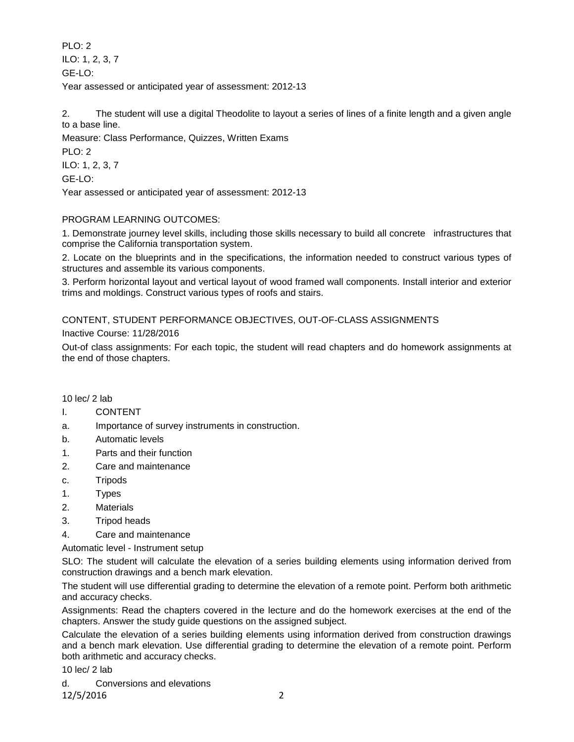PLO: 2 ILO: 1, 2, 3, 7 GE-LO: Year assessed or anticipated year of assessment: 2012-13

2. The student will use a digital Theodolite to layout a series of lines of a finite length and a given angle to a base line.

Measure: Class Performance, Quizzes, Written Exams

PLO: 2 ILO: 1, 2, 3, 7 GE-LO:

Year assessed or anticipated year of assessment: 2012-13

# PROGRAM LEARNING OUTCOMES:

1. Demonstrate journey level skills, including those skills necessary to build all concrete infrastructures that comprise the California transportation system.

2. Locate on the blueprints and in the specifications, the information needed to construct various types of structures and assemble its various components.

3. Perform horizontal layout and vertical layout of wood framed wall components. Install interior and exterior trims and moldings. Construct various types of roofs and stairs.

# CONTENT, STUDENT PERFORMANCE OBJECTIVES, OUT-OF-CLASS ASSIGNMENTS

Inactive Course: 11/28/2016

Out-of class assignments: For each topic, the student will read chapters and do homework assignments at the end of those chapters.

10 lec/ 2 lab

#### I. CONTENT

- a. Importance of survey instruments in construction.
- b. Automatic levels
- 1. Parts and their function
- 2. Care and maintenance
- c. Tripods
- 1. Types
- 2. Materials
- 3. Tripod heads
- 4. Care and maintenance

Automatic level - Instrument setup

SLO: The student will calculate the elevation of a series building elements using information derived from construction drawings and a bench mark elevation.

The student will use differential grading to determine the elevation of a remote point. Perform both arithmetic and accuracy checks.

Assignments: Read the chapters covered in the lecture and do the homework exercises at the end of the chapters. Answer the study guide questions on the assigned subject.

Calculate the elevation of a series building elements using information derived from construction drawings and a bench mark elevation. Use differential grading to determine the elevation of a remote point. Perform both arithmetic and accuracy checks.

10 lec/ 2 lab

d. Conversions and elevations 12/5/2016 2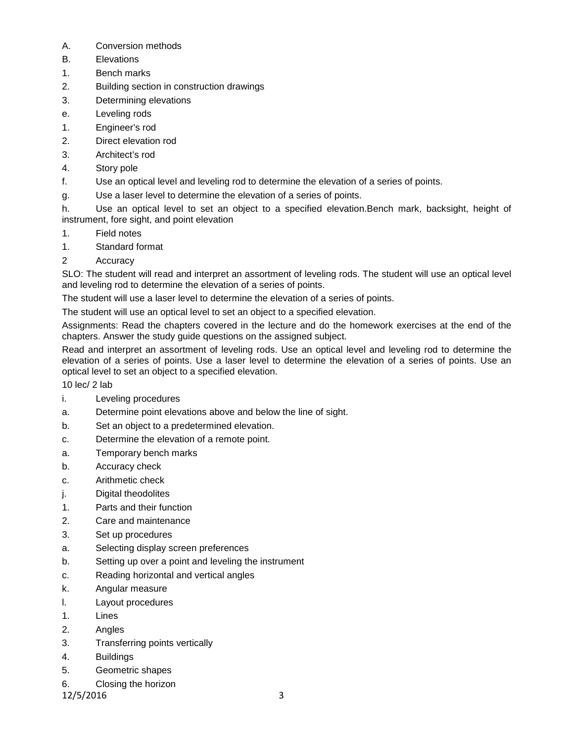- A. Conversion methods
- B. Elevations
- 1. Bench marks
- 2. Building section in construction drawings
- 3. Determining elevations
- e. Leveling rods
- 1. Engineer's rod
- 2. Direct elevation rod
- 3. Architect's rod
- 4. Story pole
- f. Use an optical level and leveling rod to determine the elevation of a series of points.
- g. Use a laser level to determine the elevation of a series of points.

h. Use an optical level to set an object to a specified elevation.Bench mark, backsight, height of instrument, fore sight, and point elevation

- 1. Field notes
- 1. Standard format
- 2 Accuracy

SLO: The student will read and interpret an assortment of leveling rods. The student will use an optical level and leveling rod to determine the elevation of a series of points.

The student will use a laser level to determine the elevation of a series of points.

The student will use an optical level to set an object to a specified elevation.

Assignments: Read the chapters covered in the lecture and do the homework exercises at the end of the chapters. Answer the study guide questions on the assigned subject.

Read and interpret an assortment of leveling rods. Use an optical level and leveling rod to determine the elevation of a series of points. Use a laser level to determine the elevation of a series of points. Use an optical level to set an object to a specified elevation.

10 lec/ 2 lab

- i. Leveling procedures
- a. Determine point elevations above and below the line of sight.
- b. Set an object to a predetermined elevation.
- c. Determine the elevation of a remote point.
- a. Temporary bench marks
- b. Accuracy check
- c. Arithmetic check
- j. Digital theodolites
- 1. Parts and their function
- 2. Care and maintenance
- 3. Set up procedures
- a. Selecting display screen preferences
- b. Setting up over a point and leveling the instrument
- c. Reading horizontal and vertical angles
- k. Angular measure
- l. Layout procedures
- 1. Lines
- 2. Angles
- 3. Transferring points vertically
- 4. Buildings
- 5. Geometric shapes
- 6. Closing the horizon

12/5/2016 3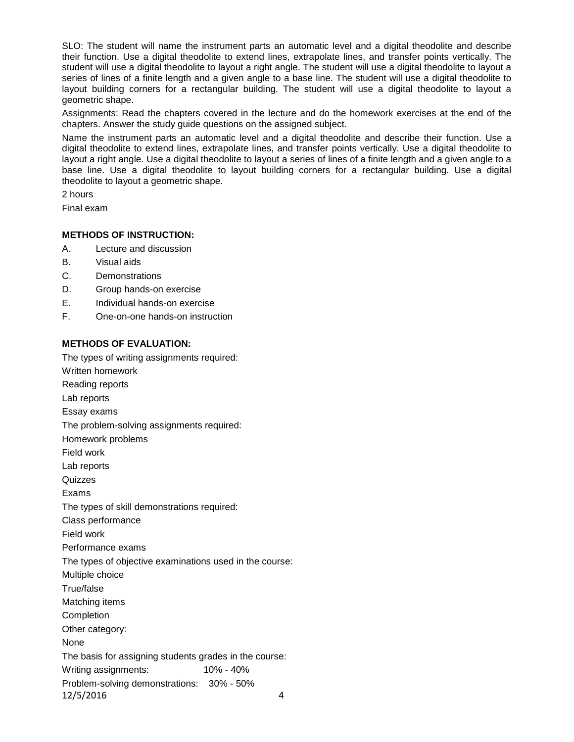SLO: The student will name the instrument parts an automatic level and a digital theodolite and describe their function. Use a digital theodolite to extend lines, extrapolate lines, and transfer points vertically. The student will use a digital theodolite to layout a right angle. The student will use a digital theodolite to layout a series of lines of a finite length and a given angle to a base line. The student will use a digital theodolite to layout building corners for a rectangular building. The student will use a digital theodolite to layout a geometric shape.

Assignments: Read the chapters covered in the lecture and do the homework exercises at the end of the chapters. Answer the study guide questions on the assigned subject.

Name the instrument parts an automatic level and a digital theodolite and describe their function. Use a digital theodolite to extend lines, extrapolate lines, and transfer points vertically. Use a digital theodolite to layout a right angle. Use a digital theodolite to layout a series of lines of a finite length and a given angle to a base line. Use a digital theodolite to layout building corners for a rectangular building. Use a digital theodolite to layout a geometric shape.

2 hours

Final exam

# **METHODS OF INSTRUCTION:**

- A. Lecture and discussion
- B. Visual aids
- C. Demonstrations
- D. Group hands-on exercise
- E. Individual hands-on exercise
- F. One-on-one hands-on instruction

# **METHODS OF EVALUATION:**

The types of writing assignments required: Written homework Reading reports Lab reports Essay exams The problem-solving assignments required: Homework problems Field work Lab reports Quizzes Exams The types of skill demonstrations required: Class performance Field work Performance exams The types of objective examinations used in the course: Multiple choice True/false Matching items **Completion** Other category: None The basis for assigning students grades in the course: Writing assignments: 10% - 40% Problem-solving demonstrations: 30% - 50% 12/5/2016 4